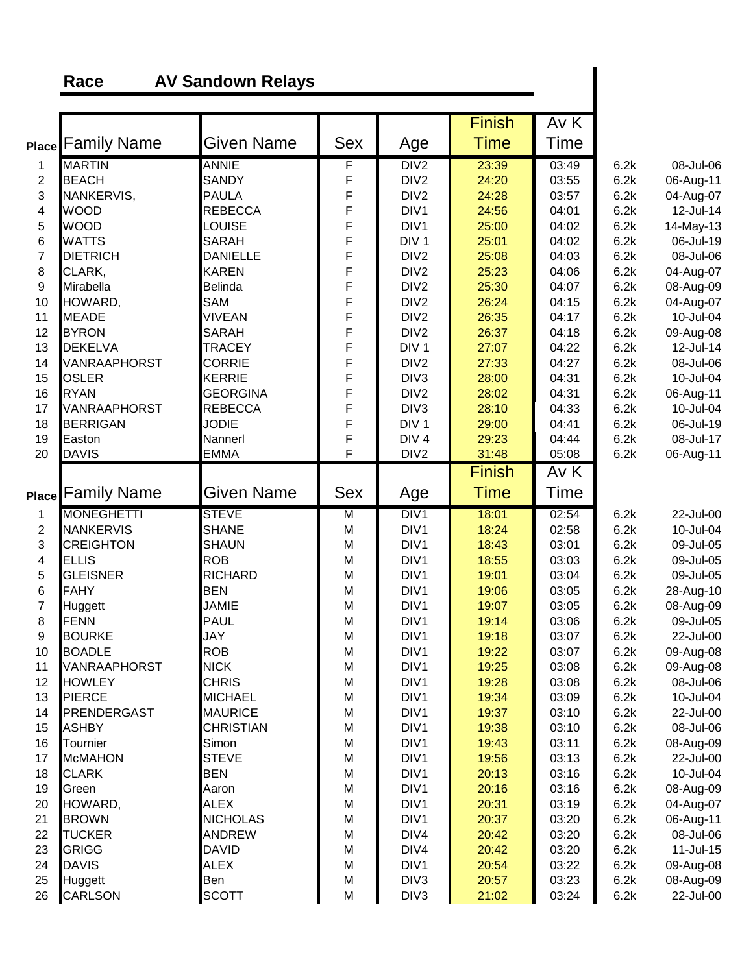## **Race AV Sandown Relays**

|                |                          |                    |             |                          | <b>Finish</b>  | AvK            |              |                        |
|----------------|--------------------------|--------------------|-------------|--------------------------|----------------|----------------|--------------|------------------------|
|                | <b>Place Family Name</b> | <b>Given Name</b>  | <b>Sex</b>  | Age                      | <b>Time</b>    | Time           |              |                        |
| 1              | <b>MARTIN</b>            | <b>ANNIE</b>       | F           | DIV <sub>2</sub>         | 23:39          | 03:49          | 6.2k         | 08-Jul-06              |
| $\overline{c}$ | <b>BEACH</b>             | <b>SANDY</b>       | F           | DIV <sub>2</sub>         | 24:20          | 03:55          | 6.2k         | 06-Aug-11              |
| 3              | NANKERVIS,               | <b>PAULA</b>       |             | DIV <sub>2</sub>         | 24:28          | 03:57          | 6.2k         | 04-Aug-07              |
| 4              | <b>WOOD</b>              | <b>REBECCA</b>     | F<br>F<br>F | DIV <sub>1</sub>         | 24:56          | 04:01          | 6.2k         | 12-Jul-14              |
| 5              | <b>WOOD</b>              | LOUISE             |             | DIV <sub>1</sub>         | 25:00          | 04:02          | 6.2k         | 14-May-13              |
| 6              | <b>WATTS</b>             | <b>SARAH</b>       | F           | DIV <sub>1</sub>         | 25:01          | 04:02          | 6.2k         | 06-Jul-19              |
| $\overline{7}$ | <b>DIETRICH</b>          | <b>DANIELLE</b>    | F           | DIV <sub>2</sub>         | 25:08          | 04:03          | 6.2k         | 08-Jul-06              |
| 8              | CLARK,                   | <b>KAREN</b>       | F           | DIV <sub>2</sub>         | 25:23          | 04:06          | 6.2k         | 04-Aug-07              |
| $9\,$          | Mirabella                | <b>Belinda</b>     | F           | DIV <sub>2</sub>         | 25:30          | 04:07          | 6.2k         | 08-Aug-09              |
| 10             | HOWARD,                  | SAM                | F           | DIV <sub>2</sub>         | 26:24          | 04:15          | 6.2k         | 04-Aug-07              |
| 11             | <b>MEADE</b>             | <b>VIVEAN</b>      | F           | DIV <sub>2</sub>         | 26:35          | 04:17          | 6.2k         | 10-Jul-04              |
| 12             | <b>BYRON</b>             | <b>SARAH</b>       | F           | DIV <sub>2</sub>         | 26:37          | 04:18          | 6.2k         | 09-Aug-08              |
| 13             | <b>DEKELVA</b>           | <b>TRACEY</b>      | F           | DIV <sub>1</sub>         | 27:07          | 04:22          | 6.2k         | 12-Jul-14              |
| 14             | VANRAAPHORST             | <b>CORRIE</b>      | F           | DIV <sub>2</sub>         | 27:33          | 04:27          | 6.2k         | 08-Jul-06              |
| 15             | <b>OSLER</b>             | <b>KERRIE</b>      | F           | DIV <sub>3</sub>         | 28:00          | 04:31          | 6.2k         | 10-Jul-04              |
| 16             | <b>RYAN</b>              | <b>GEORGINA</b>    | F           | DIV <sub>2</sub>         | 28:02          | 04:31          | 6.2k         | 06-Aug-11              |
| 17             | VANRAAPHORST             | <b>REBECCA</b>     | F           | DIV <sub>3</sub>         | 28:10          | 04:33          | 6.2k         | 10-Jul-04              |
| 18             | <b>BERRIGAN</b>          | <b>JODIE</b>       | F           | DIV <sub>1</sub>         | 29:00          | 04:41          | 6.2k         | 06-Jul-19              |
| 19             | Easton                   | Nannerl            | F           | DIV <sub>4</sub>         | 29:23          | 04:44          | 6.2k         | 08-Jul-17              |
| 20             | <b>DAVIS</b>             | <b>EMMA</b>        | F           | DIV <sub>2</sub>         | 31:48          | 05:08          | 6.2k         | 06-Aug-11              |
|                |                          |                    |             |                          | <b>Finish</b>  | Av K           |              |                        |
|                | <b>Place Family Name</b> | <b>Given Name</b>  | <b>Sex</b>  | Age                      | <b>Time</b>    | <b>Time</b>    |              |                        |
|                |                          |                    |             |                          |                |                |              |                        |
| 1              | <b>MONEGHETTI</b>        | <b>STEVE</b>       | M           | DIV <sub>1</sub>         | 18:01          | 02:54          | 6.2k         | 22-Jul-00              |
| $\overline{c}$ | <b>NANKERVIS</b>         | <b>SHANE</b>       | M           | DIV <sub>1</sub>         | 18:24          | 02:58          | 6.2k         | 10-Jul-04              |
| 3              | <b>CREIGHTON</b>         | <b>SHAUN</b>       | M           | DIV <sub>1</sub>         | 18:43          | 03:01          | 6.2k         | 09-Jul-05              |
| 4              | <b>ELLIS</b>             | <b>ROB</b>         | M           | DIV <sub>1</sub>         | 18:55          | 03:03          | 6.2k         | 09-Jul-05              |
| 5              | <b>GLEISNER</b>          | <b>RICHARD</b>     | M           | DIV1                     | 19:01          | 03:04          | 6.2k         | 09-Jul-05              |
| 6              | <b>FAHY</b>              | <b>BEN</b>         | M           | DIV <sub>1</sub>         | 19:06          | 03:05          | 6.2k         | 28-Aug-10              |
| 7              | Huggett                  | <b>JAMIE</b>       | M           | DIV <sub>1</sub>         | 19:07          | 03:05          | 6.2k         | 08-Aug-09              |
| 8              | FENN                     | <b>PAUL</b>        | M           | DIV <sub>1</sub>         | 19:14          | 03:06          | 6.2k         | 09-Jul-05              |
| 9              | <b>BOURKE</b>            | JAY                | M           | DIV <sub>1</sub>         | 19:18          | 03:07          | 6.2k         | 22-Jul-00              |
| 10             | <b>BOADLE</b>            | <b>ROB</b>         | M           | DIV <sub>1</sub>         | 19:22          | 03:07          | 6.2k         | 09-Aug-08              |
| 11             | <b>VANRAAPHORST</b>      | <b>NICK</b>        | M           | DIV1                     | 19:25          | 03:08          | 6.2k         | 09-Aug-08              |
| 12             | <b>HOWLEY</b>            | <b>CHRIS</b>       | M           | DIV1                     | 19:28          | 03:08          | 6.2k         | 08-Jul-06              |
| 13             | <b>PIERCE</b>            | <b>MICHAEL</b>     | M           | DIV1                     | 19:34          | 03:09          | 6.2k         | 10-Jul-04              |
| 14             | <b>PRENDERGAST</b>       | <b>MAURICE</b>     | M           | DIV1                     | 19:37          | 03:10          | 6.2k         | 22-Jul-00              |
| 15             | <b>ASHBY</b>             | CHRISTIAN          | M           | DIV1                     | 19:38          | 03:10          | 6.2k         | 08-Jul-06              |
| 16             | Tournier                 | Simon              | M           | DIV <sub>1</sub>         | 19:43          | 03:11          | 6.2k         | 08-Aug-09              |
| 17             | <b>McMAHON</b>           | <b>STEVE</b>       | M           | DIV <sub>1</sub>         | 19:56          | 03:13          | 6.2k         | 22-Jul-00              |
| 18             | <b>CLARK</b>             | <b>BEN</b>         | M           | DIV1                     | 20:13          | 03:16          | 6.2k         | 10-Jul-04              |
| 19             | Green                    | Aaron              | M           | DIV <sub>1</sub>         | 20:16          | 03:16          | 6.2k         | 08-Aug-09              |
| 20             | HOWARD,                  | <b>ALEX</b>        | M           | DIV1                     | 20:31          | 03:19          | 6.2k         | 04-Aug-07              |
| 21             | <b>BROWN</b>             | <b>NICHOLAS</b>    | M           | DIV1                     | 20:37          | 03:20          | 6.2k         | 06-Aug-11              |
| 22             | <b>TUCKER</b>            | <b>ANDREW</b>      | M           | DIV4                     | 20:42          | 03:20          | 6.2k         | 08-Jul-06              |
| 23             | <b>GRIGG</b>             | <b>DAVID</b>       | M           | DIV4                     | 20:42          | 03:20          | 6.2k         | 11-Jul-15              |
| 24<br>25       | <b>DAVIS</b><br>Huggett  | <b>ALEX</b><br>Ben | M<br>M      | DIV1<br>DIV <sub>3</sub> | 20:54<br>20:57 | 03:22<br>03:23 | 6.2k<br>6.2k | 09-Aug-08<br>08-Aug-09 |

L,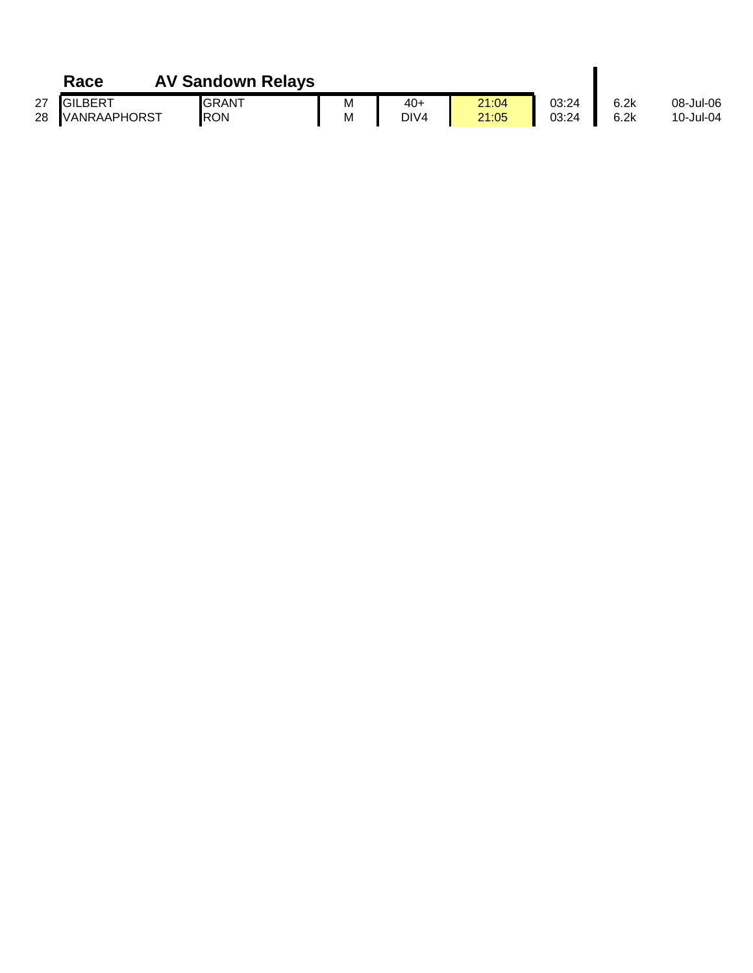|    | Race            | <b>AV Sandown Relays</b> |   |                  |       |       |      |           |
|----|-----------------|--------------------------|---|------------------|-------|-------|------|-----------|
| 27 | <b>IGILBERT</b> | <b>GRANT</b>             | M | 40+              | 21:04 | 03:24 | 6.2k | 08-Jul-06 |
|    | 28 VANRAAPHORST | <b>RON</b>               | M | DIV <sub>4</sub> | 21:05 | 03:24 | 6.2k | 10-Jul-04 |